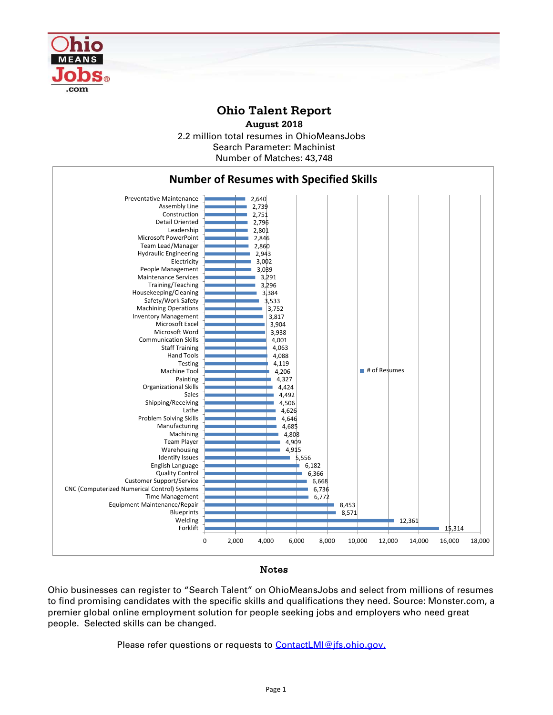

## **Ohio Talent Report**

2.2 million total resumes in OhioMeansJobs Number of Matches: 43,748 **August 2018** Search Parameter: Machinist



## Notes

Ohio businesses can register to "Search Talent" on OhioMeansJobs and select from millions of resumes to find promising candidates with the specific skills and qualifications they need. Source: Monster.com, a premier global online employment solution for people seeking jobs and employers who need great people. Selected skills can be changed.

Please refer questions or requests to [ContactLMI@jfs.ohio.gov.](mailto:ContactLMI@jfs.ohio.gov.)